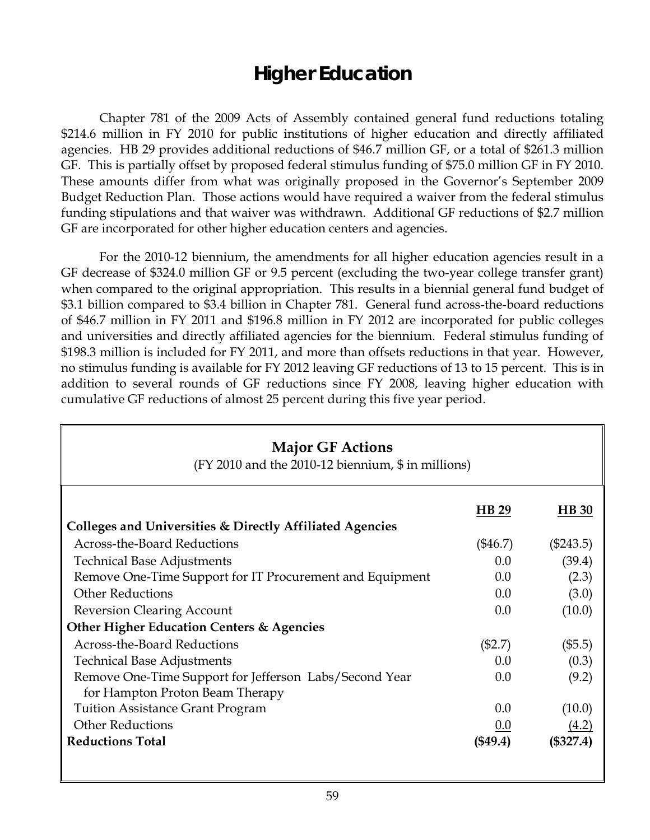## **Higher Education**

 Chapter 781 of the 2009 Acts of Assembly contained general fund reductions totaling \$214.6 million in FY 2010 for public institutions of higher education and directly affiliated agencies. HB 29 provides additional reductions of \$46.7 million GF, or a total of \$261.3 million GF. This is partially offset by proposed federal stimulus funding of \$75.0 million GF in FY 2010. These amounts differ from what was originally proposed in the Governor's September 2009 Budget Reduction Plan. Those actions would have required a waiver from the federal stimulus funding stipulations and that waiver was withdrawn. Additional GF reductions of \$2.7 million GF are incorporated for other higher education centers and agencies.

For the 2010-12 biennium, the amendments for all higher education agencies result in a GF decrease of \$324.0 million GF or 9.5 percent (excluding the two-year college transfer grant) when compared to the original appropriation. This results in a biennial general fund budget of \$3.1 billion compared to \$3.4 billion in Chapter 781. General fund across-the-board reductions of \$46.7 million in FY 2011 and \$196.8 million in FY 2012 are incorporated for public colleges and universities and directly affiliated agencies for the biennium. Federal stimulus funding of \$198.3 million is included for FY 2011, and more than offsets reductions in that year. However, no stimulus funding is available for FY 2012 leaving GF reductions of 13 to 15 percent. This is in addition to several rounds of GF reductions since FY 2008, leaving higher education with cumulative GF reductions of almost 25 percent during this five year period.

| <b>Major GF Actions</b><br>(FY 2010 and the 2010-12 biennium, \$ in millions) |            |              |  |  |
|-------------------------------------------------------------------------------|------------|--------------|--|--|
|                                                                               | HB 29      | <b>HB</b> 30 |  |  |
| Colleges and Universities & Directly Affiliated Agencies                      |            |              |  |  |
| <b>Across-the-Board Reductions</b>                                            | $(\$46.7)$ | $(\$243.5)$  |  |  |
| <b>Technical Base Adjustments</b>                                             | 0.0        | (39.4)       |  |  |
| Remove One-Time Support for IT Procurement and Equipment                      | 0.0        | (2.3)        |  |  |
| <b>Other Reductions</b>                                                       | 0.0        | (3.0)        |  |  |
| <b>Reversion Clearing Account</b>                                             | 0.0        | (10.0)       |  |  |
| Other Higher Education Centers & Agencies                                     |            |              |  |  |
| <b>Across-the-Board Reductions</b>                                            | $(\$2.7)$  | (\$5.5)      |  |  |
| <b>Technical Base Adjustments</b>                                             | 0.0        | (0.3)        |  |  |
| Remove One-Time Support for Jefferson Labs/Second Year                        | 0.0        | (9.2)        |  |  |
| for Hampton Proton Beam Therapy                                               |            |              |  |  |
| <b>Tuition Assistance Grant Program</b>                                       | 0.0        | (10.0)       |  |  |
| <b>Other Reductions</b>                                                       | 0.0        |              |  |  |
| <b>Reductions Total</b>                                                       | (\$49.4)   | $(\$327.4)$  |  |  |
|                                                                               |            |              |  |  |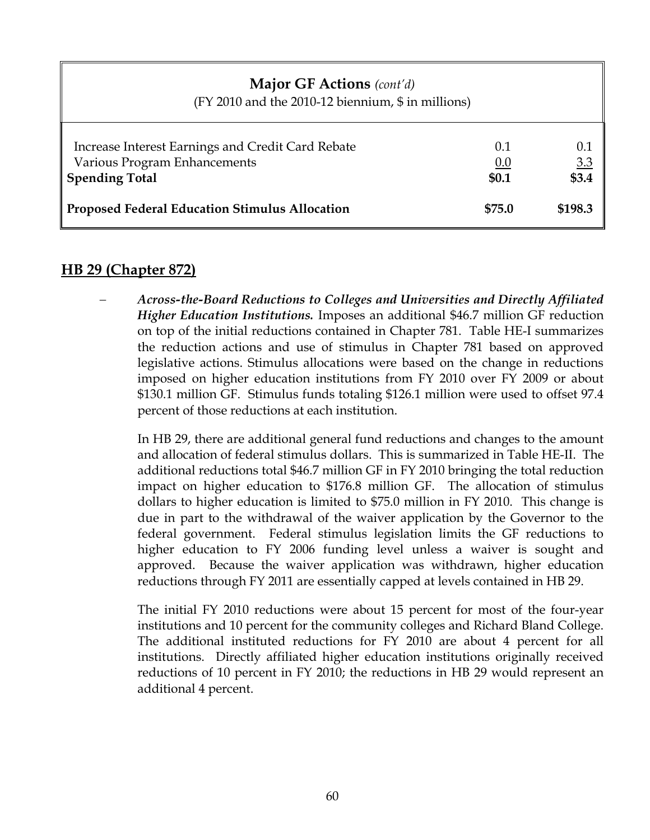# **Major GF Actions** *(cont'd)*  (FY 2010 and the 2010-12 biennium, \$ in millions) Increase Interest Earnings and Credit Card Rebate 0.1 0.1 0.1 Various Program Enhancements **0.0** 3.3 **Spending Total \$3.4 \$3.4 Proposed Federal Education Stimulus Allocation \$75.0 \$198.3**

#### **HB 29 (Chapter 872)**

− *Across-the-Board Reductions to Colleges and Universities and Directly Affiliated Higher Education Institutions.* Imposes an additional \$46.7 million GF reduction on top of the initial reductions contained in Chapter 781. Table HE-I summarizes the reduction actions and use of stimulus in Chapter 781 based on approved legislative actions. Stimulus allocations were based on the change in reductions imposed on higher education institutions from FY 2010 over FY 2009 or about \$130.1 million GF. Stimulus funds totaling \$126.1 million were used to offset 97.4 percent of those reductions at each institution.

In HB 29, there are additional general fund reductions and changes to the amount and allocation of federal stimulus dollars. This is summarized in Table HE-II. The additional reductions total \$46.7 million GF in FY 2010 bringing the total reduction impact on higher education to \$176.8 million GF. The allocation of stimulus dollars to higher education is limited to \$75.0 million in FY 2010. This change is due in part to the withdrawal of the waiver application by the Governor to the federal government. Federal stimulus legislation limits the GF reductions to higher education to FY 2006 funding level unless a waiver is sought and approved. Because the waiver application was withdrawn, higher education reductions through FY 2011 are essentially capped at levels contained in HB 29.

The initial FY 2010 reductions were about 15 percent for most of the four-year institutions and 10 percent for the community colleges and Richard Bland College. The additional instituted reductions for FY 2010 are about 4 percent for all institutions. Directly affiliated higher education institutions originally received reductions of 10 percent in FY 2010; the reductions in HB 29 would represent an additional 4 percent.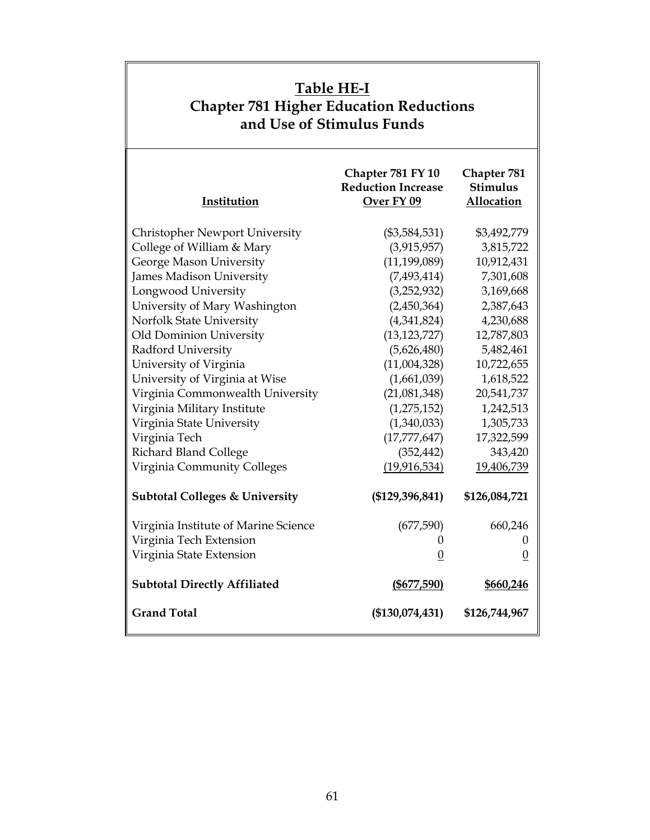| Table HE-I<br><b>Chapter 781 Higher Education Reductions</b><br>and Use of Stimulus Funds |                                                              |                                              |  |  |
|-------------------------------------------------------------------------------------------|--------------------------------------------------------------|----------------------------------------------|--|--|
| Institution                                                                               | Chapter 781 FY 10<br><b>Reduction Increase</b><br>Over FY 09 | Chapter 781<br><b>Stimulus</b><br>Allocation |  |  |
| <b>Christopher Newport University</b>                                                     | $(\$3,584,531)$                                              | \$3,492,779                                  |  |  |
| College of William & Mary                                                                 | (3,915,957)                                                  | 3,815,722                                    |  |  |
| George Mason University                                                                   | (11, 199, 089)                                               | 10,912,431                                   |  |  |
| <b>James Madison University</b>                                                           | (7,493,414)                                                  | 7,301,608                                    |  |  |
| Longwood University                                                                       | (3,252,932)                                                  | 3,169,668                                    |  |  |
| University of Mary Washington                                                             | (2,450,364)                                                  | 2,387,643                                    |  |  |
| Norfolk State University                                                                  | (4,341,824)                                                  | 4,230,688                                    |  |  |
| Old Dominion University                                                                   | (13, 123, 727)                                               | 12,787,803                                   |  |  |
| Radford University                                                                        | (5,626,480)                                                  | 5,482,461                                    |  |  |
| University of Virginia                                                                    | (11,004,328)                                                 | 10,722,655                                   |  |  |
| University of Virginia at Wise                                                            | (1,661,039)                                                  | 1,618,522                                    |  |  |
| Virginia Commonwealth University                                                          | (21,081,348)                                                 | 20,541,737                                   |  |  |
| Virginia Military Institute                                                               | (1,275,152)                                                  | 1,242,513                                    |  |  |
| Virginia State University                                                                 | (1,340,033)                                                  | 1,305,733                                    |  |  |
| Virginia Tech                                                                             | (17, 777, 647)                                               | 17,322,599                                   |  |  |
| Richard Bland College                                                                     | (352, 442)                                                   | 343,420                                      |  |  |
| Virginia Community Colleges                                                               | (19, 916, 534)                                               | 19,406,739                                   |  |  |
| <b>Subtotal Colleges &amp; University</b>                                                 | (\$129,396,841)                                              | \$126,084,721                                |  |  |
| Virginia Institute of Marine Science                                                      | (677,590)                                                    | 660,246                                      |  |  |
| Virginia Tech Extension                                                                   | $\boldsymbol{0}$                                             | $\boldsymbol{0}$                             |  |  |
| Virginia State Extension                                                                  | $\overline{0}$                                               | $\overline{0}$                               |  |  |
| <b>Subtotal Directly Affiliated</b>                                                       | $($ \$677,590)                                               | \$660,246                                    |  |  |
| <b>Grand Total</b>                                                                        | $(\$130,074,431)$                                            | \$126,744,967                                |  |  |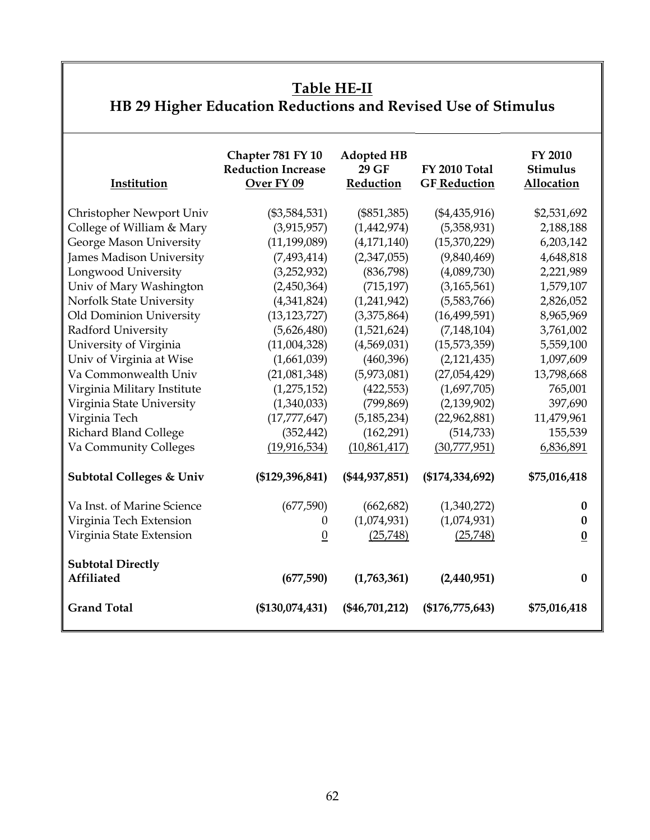### **Table HE-II**

# **HB 29 Higher Education Reductions and Revised Use of Stimulus**

| Institution                            | Chapter 781 FY 10<br><b>Reduction Increase</b><br>Over FY 09 | <b>Adopted HB</b><br>29 GF<br>Reduction | FY 2010 Total<br><b>GF</b> Reduction | FY 2010<br><b>Stimulus</b><br>Allocation |
|----------------------------------------|--------------------------------------------------------------|-----------------------------------------|--------------------------------------|------------------------------------------|
| Christopher Newport Univ               | $(\$3,584,531)$                                              | $(\$851,385)$                           | $(\$4,435,916)$                      | \$2,531,692                              |
| College of William & Mary              | (3,915,957)                                                  | (1,442,974)                             | (5,358,931)                          | 2,188,188                                |
| George Mason University                | (11, 199, 089)                                               | (4, 171, 140)                           | (15,370,229)                         | 6,203,142                                |
| James Madison University               | (7,493,414)                                                  | (2,347,055)                             | (9,840,469)                          | 4,648,818                                |
| Longwood University                    | (3,252,932)                                                  | (836,798)                               | (4,089,730)                          | 2,221,989                                |
| Univ of Mary Washington                | (2,450,364)                                                  | (715, 197)                              | (3, 165, 561)                        | 1,579,107                                |
| Norfolk State University               | (4,341,824)                                                  | (1,241,942)                             | (5,583,766)                          | 2,826,052                                |
| Old Dominion University                | (13, 123, 727)                                               | (3,375,864)                             | (16, 499, 591)                       | 8,965,969                                |
| Radford University                     | (5,626,480)                                                  | (1,521,624)                             | (7, 148, 104)                        | 3,761,002                                |
| University of Virginia                 | (11,004,328)                                                 | (4,569,031)                             | (15,573,359)                         | 5,559,100                                |
| Univ of Virginia at Wise               | (1,661,039)                                                  | (460, 396)                              | (2,121,435)                          | 1,097,609                                |
| Va Commonwealth Univ                   | (21,081,348)                                                 | (5,973,081)                             | (27,054,429)                         | 13,798,668                               |
| Virginia Military Institute            | (1, 275, 152)                                                | (422, 553)                              | (1,697,705)                          | 765,001                                  |
| Virginia State University              | (1,340,033)                                                  | (799, 869)                              | (2, 139, 902)                        | 397,690                                  |
| Virginia Tech                          | (17, 777, 647)                                               | (5, 185, 234)                           | (22,962,881)                         | 11,479,961                               |
| Richard Bland College                  | (352, 442)                                                   | (162, 291)                              | (514, 733)                           | 155,539                                  |
| Va Community Colleges                  | (19, 916, 534)                                               | (10,861,417)                            | (30,777,951)                         | 6,836,891                                |
| <b>Subtotal Colleges &amp; Univ</b>    | (\$129,396,841)                                              | $(\$44,937,851)$                        | (\$174,334,692)                      | \$75,016,418                             |
| Va Inst. of Marine Science             | (677,590)                                                    | (662, 682)                              | (1,340,272)                          | 0                                        |
| Virginia Tech Extension                | 0                                                            | (1,074,931)                             | (1,074,931)                          | 0                                        |
| Virginia State Extension               | $\boldsymbol{0}$                                             | (25,748)                                | (25,748)                             | $\boldsymbol{0}$                         |
| <b>Subtotal Directly</b><br>Affiliated | (677,590)                                                    | (1,763,361)                             | (2,440,951)                          | $\boldsymbol{0}$                         |
| <b>Grand Total</b>                     | (\$130,074,431)                                              | $(\$46,701,212)$                        | (\$176,775,643)                      | \$75,016,418                             |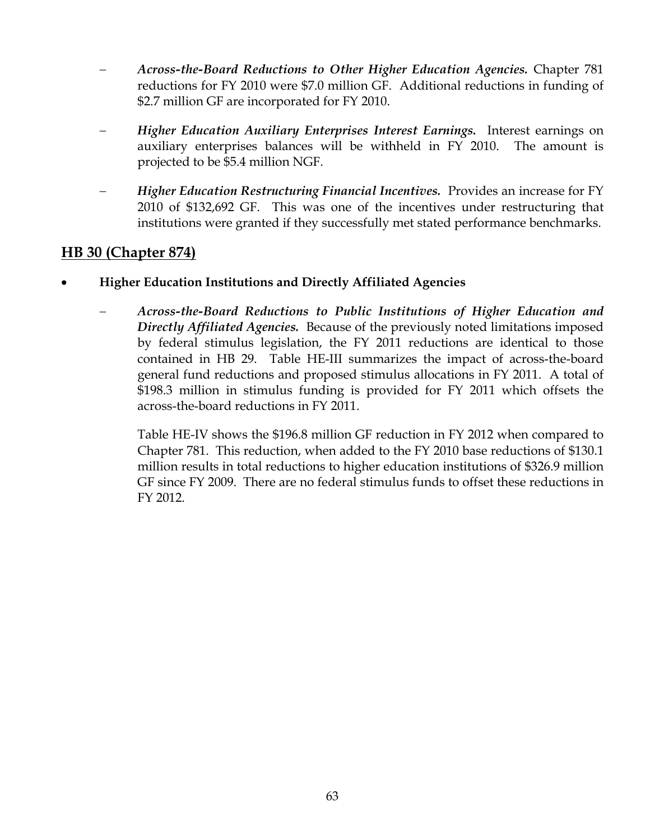- − *Across-the-Board Reductions to Other Higher Education Agencies.* Chapter 781 reductions for FY 2010 were \$7.0 million GF. Additional reductions in funding of \$2.7 million GF are incorporated for FY 2010.
- − *Higher Education Auxiliary Enterprises Interest Earnings.* Interest earnings on auxiliary enterprises balances will be withheld in FY 2010. The amount is projected to be \$5.4 million NGF.
- − *Higher Education Restructuring Financial Incentives.* Provides an increase for FY 2010 of \$132,692 GF. This was one of the incentives under restructuring that institutions were granted if they successfully met stated performance benchmarks.

#### **HB 30 (Chapter 874)**

- **Higher Education Institutions and Directly Affiliated Agencies**
	- − *Across-the-Board Reductions to Public Institutions of Higher Education and Directly Affiliated Agencies.* Because of the previously noted limitations imposed by federal stimulus legislation, the FY 2011 reductions are identical to those contained in HB 29. Table HE-III summarizes the impact of across-the-board general fund reductions and proposed stimulus allocations in FY 2011. A total of \$198.3 million in stimulus funding is provided for FY 2011 which offsets the across-the-board reductions in FY 2011.

Table HE-IV shows the \$196.8 million GF reduction in FY 2012 when compared to Chapter 781. This reduction, when added to the FY 2010 base reductions of \$130.1 million results in total reductions to higher education institutions of \$326.9 million GF since FY 2009. There are no federal stimulus funds to offset these reductions in FY 2012.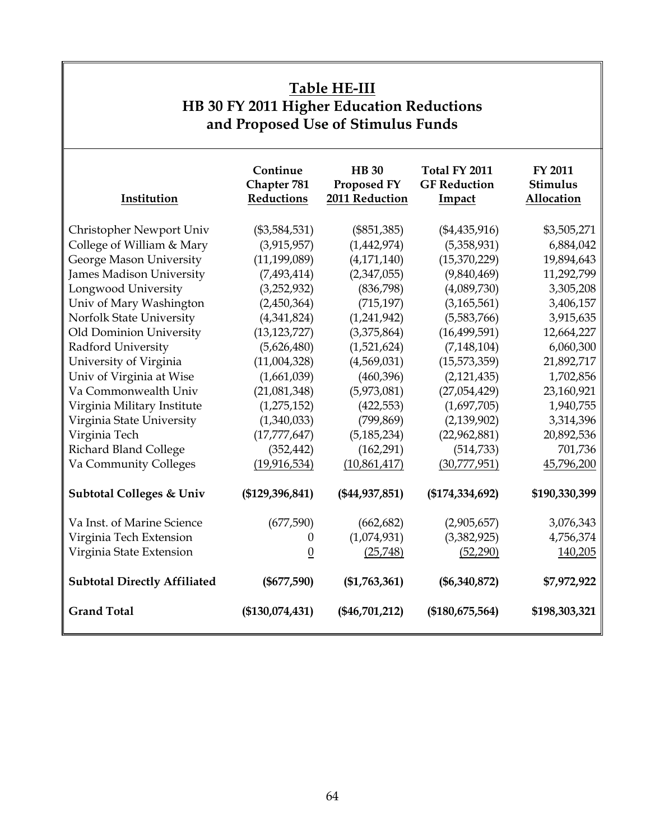### **Table HE-III HB 30 FY 2011 Higher Education Reductions and Proposed Use of Stimulus Funds**

| Institution                         | Continue<br>Chapter 781<br>Reductions | <b>HB</b> 30<br>Proposed FY<br>2011 Reduction | Total FY 2011<br><b>GF</b> Reduction<br>Impact | <b>FY 2011</b><br>Stimulus<br>Allocation |
|-------------------------------------|---------------------------------------|-----------------------------------------------|------------------------------------------------|------------------------------------------|
| Christopher Newport Univ            | $(\$3,584,531)$                       | $(\$851,385)$                                 | $(\$4,435,916)$                                | \$3,505,271                              |
| College of William & Mary           | (3,915,957)                           | (1,442,974)                                   | (5,358,931)                                    | 6,884,042                                |
| George Mason University             | (11, 199, 089)                        | (4, 171, 140)                                 | (15,370,229)                                   | 19,894,643                               |
| James Madison University            | (7,493,414)                           | (2,347,055)                                   | (9,840,469)                                    | 11,292,799                               |
| Longwood University                 | (3,252,932)                           | (836,798)                                     | (4,089,730)                                    | 3,305,208                                |
| Univ of Mary Washington             | (2,450,364)                           | (715, 197)                                    | (3,165,561)                                    | 3,406,157                                |
| Norfolk State University            | (4,341,824)                           | (1,241,942)                                   | (5,583,766)                                    | 3,915,635                                |
| Old Dominion University             | (13, 123, 727)                        | (3,375,864)                                   | (16, 499, 591)                                 | 12,664,227                               |
| Radford University                  | (5,626,480)                           | (1,521,624)                                   | (7, 148, 104)                                  | 6,060,300                                |
| University of Virginia              | (11,004,328)                          | (4,569,031)                                   | (15,573,359)                                   | 21,892,717                               |
| Univ of Virginia at Wise            | (1,661,039)                           | (460,396)                                     | (2,121,435)                                    | 1,702,856                                |
| Va Commonwealth Univ                | (21,081,348)                          | (5,973,081)                                   | (27,054,429)                                   | 23,160,921                               |
| Virginia Military Institute         | (1, 275, 152)                         | (422, 553)                                    | (1,697,705)                                    | 1,940,755                                |
| Virginia State University           | (1,340,033)                           | (799, 869)                                    | (2, 139, 902)                                  | 3,314,396                                |
| Virginia Tech                       | (17, 777, 647)                        | (5, 185, 234)                                 | (22,962,881)                                   | 20,892,536                               |
| Richard Bland College               | (352, 442)                            | (162, 291)                                    | (514, 733)                                     | 701,736                                  |
| Va Community Colleges               | (19, 916, 534)                        | (10,861,417)                                  | (30,777,951)                                   | 45,796,200                               |
| <b>Subtotal Colleges &amp; Univ</b> | (\$129,396,841)                       | (\$44,937,851)                                | (\$174,334,692)                                | \$190,330,399                            |
| Va Inst. of Marine Science          | (677,590)                             | (662, 682)                                    | (2,905,657)                                    | 3,076,343                                |
| Virginia Tech Extension             | 0                                     | (1,074,931)                                   | (3,382,925)                                    | 4,756,374                                |
| Virginia State Extension            | $\boldsymbol{0}$                      | (25,748)                                      | (52,290)                                       | 140,205                                  |
| <b>Subtotal Directly Affiliated</b> | $(\$677,590)$                         | (\$1,763,361)                                 | $(\$6,340,872)$                                | \$7,972,922                              |
| <b>Grand Total</b>                  | (\$130,074,431)                       | $(\$46,701,212)$                              | (\$180,675,564)                                | \$198,303,321                            |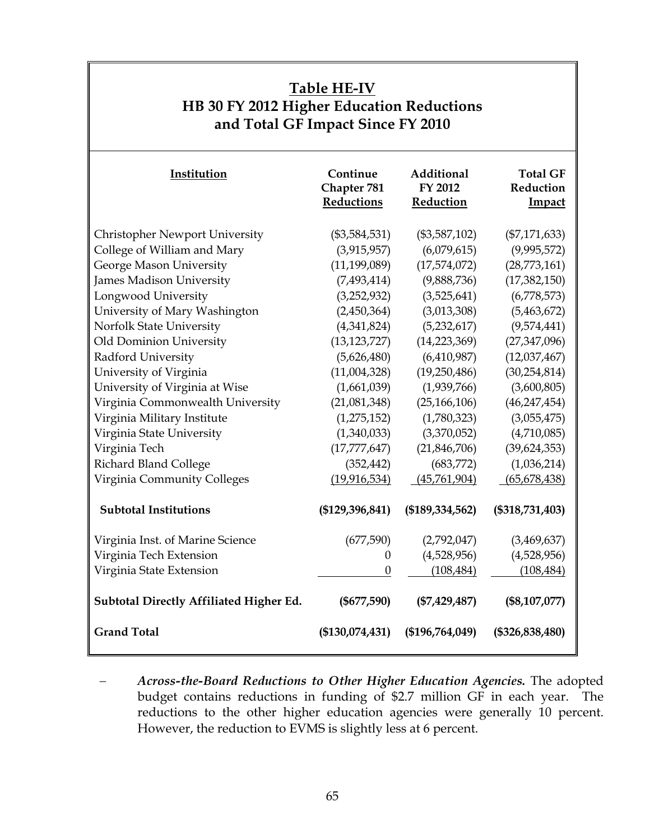| <b>Table HE-IV</b><br>HB 30 FY 2012 Higher Education Reductions<br>and Total GF Impact Since FY 2010 |                                       |                                    |                                        |  |
|------------------------------------------------------------------------------------------------------|---------------------------------------|------------------------------------|----------------------------------------|--|
| Institution                                                                                          | Continue<br>Chapter 781<br>Reductions | Additional<br>FY 2012<br>Reduction | <b>Total GF</b><br>Reduction<br>Impact |  |
| <b>Christopher Newport University</b>                                                                | $(\$3,584,531)$                       | $(\$3,587,102)$                    | $(\$7,171,633)$                        |  |
| College of William and Mary                                                                          | (3,915,957)                           | (6,079,615)                        | (9,995,572)                            |  |
| George Mason University                                                                              | (11, 199, 089)                        | (17,574,072)                       | (28,773,161)                           |  |
| James Madison University                                                                             | (7,493,414)                           | (9,888,736)                        | (17, 382, 150)                         |  |
| Longwood University                                                                                  | (3,252,932)                           | (3,525,641)                        | (6,778,573)                            |  |
| University of Mary Washington                                                                        | (2,450,364)                           | (3,013,308)                        | (5,463,672)                            |  |
| Norfolk State University                                                                             | (4,341,824)                           | (5,232,617)                        | (9,574,441)                            |  |
| Old Dominion University                                                                              | (13, 123, 727)                        | (14, 223, 369)                     | (27, 347, 096)                         |  |
| Radford University                                                                                   | (5,626,480)                           | (6,410,987)                        | (12,037,467)                           |  |
| University of Virginia                                                                               | (11,004,328)                          | (19,250,486)                       | (30, 254, 814)                         |  |
| University of Virginia at Wise                                                                       | (1,661,039)                           | (1,939,766)                        | (3,600,805)                            |  |
| Virginia Commonwealth University                                                                     | (21,081,348)                          | (25, 166, 106)                     | (46, 247, 454)                         |  |
| Virginia Military Institute                                                                          | (1,275,152)                           | (1,780,323)                        | (3,055,475)                            |  |
| Virginia State University                                                                            | (1,340,033)                           | (3,370,052)                        | (4,710,085)                            |  |
| Virginia Tech                                                                                        | (17, 777, 647)                        | (21, 846, 706)                     | (39, 624, 353)                         |  |
| Richard Bland College                                                                                | (352, 442)                            | (683,772)                          | (1,036,214)                            |  |
| Virginia Community Colleges                                                                          | (19, 916, 534)                        | (45,761,904)                       | (65, 678, 438)                         |  |
| <b>Subtotal Institutions</b>                                                                         | (\$129,396,841)                       | (\$189,334,562)                    | $(\$318,731,403)$                      |  |
| Virginia Inst. of Marine Science                                                                     | (677,590)                             | (2,792,047)                        | (3,469,637)                            |  |
| Virginia Tech Extension                                                                              | $\boldsymbol{0}$                      | (4,528,956)                        | (4,528,956)                            |  |
| Virginia State Extension                                                                             | $\boldsymbol{0}$                      | (108, 484)                         | (108, 484)                             |  |
| <b>Subtotal Directly Affiliated Higher Ed.</b>                                                       | $(\$677,590)$                         | $(\$7,429,487)$                    | $(\$8,107,077)$                        |  |
| <b>Grand Total</b>                                                                                   | (\$130,074,431)                       | (\$196,764,049)                    | $(\$326,838,480)$                      |  |

<sup>−</sup> *Across-the-Board Reductions to Other Higher Education Agencies.* The adopted budget contains reductions in funding of \$2.7 million GF in each year. The reductions to the other higher education agencies were generally 10 percent. However, the reduction to EVMS is slightly less at 6 percent.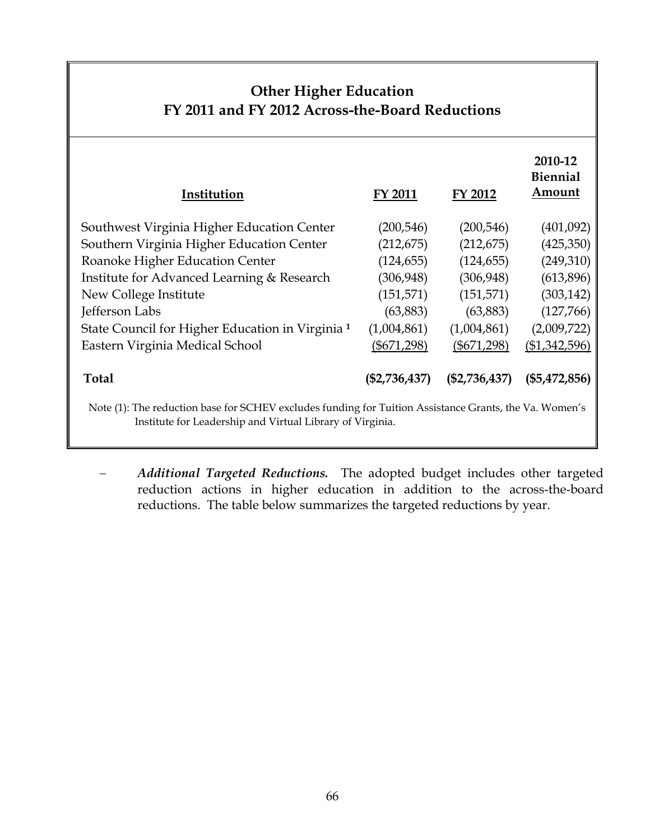### **Other Higher Education FY 2011 and FY 2012 Across-the-Board Reductions**

| Institution                                                                                            | <b>FY 2011</b>  | FY 2012         | 2010-12<br>Biennial<br>Amount |
|--------------------------------------------------------------------------------------------------------|-----------------|-----------------|-------------------------------|
| Southwest Virginia Higher Education Center                                                             | (200, 546)      | (200, 546)      | (401,092)                     |
| Southern Virginia Higher Education Center                                                              | (212, 675)      | (212, 675)      | (425,350)                     |
| Roanoke Higher Education Center                                                                        | (124, 655)      | (124, 655)      | (249,310)                     |
| Institute for Advanced Learning & Research                                                             | (306, 948)      | (306, 948)      | (613,896)                     |
| New College Institute                                                                                  | (151, 571)      | (151, 571)      | (303, 142)                    |
| Jefferson Labs                                                                                         | (63, 883)       | (63,883)        | (127,766)                     |
| State Council for Higher Education in Virginia <sup>1</sup>                                            | (1,004,861)     | (1,004,861)     | (2,009,722)                   |
| Eastern Virginia Medical School                                                                        | $(\$671,298)$   | $(\$671,298)$   | ( \$1,342,596)                |
| <b>Total</b>                                                                                           | $(\$2,736,437)$ | $(\$2,736,437)$ | $(\$5,472,856)$               |
| Note (1): The reduction base for SCHEV excludes funding for Tuition Assistance Grants, the Va. Women's |                 |                 |                               |

Institute for Leadership and Virtual Library of Virginia.

− *Additional Targeted Reductions.* The adopted budget includes other targeted reduction actions in higher education in addition to the across-the-board reductions. The table below summarizes the targeted reductions by year.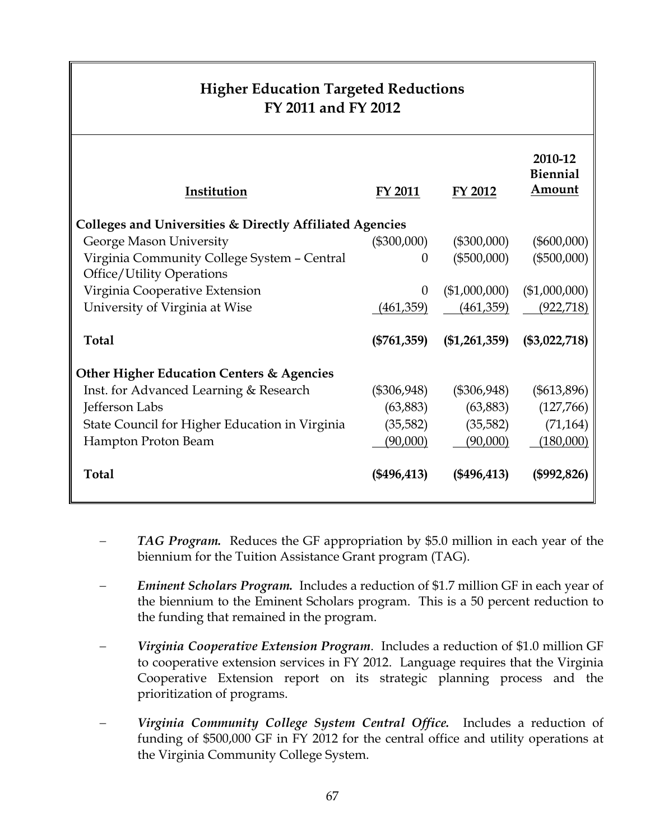### **Higher Education Targeted Reductions FY 2011 and FY 2012**

| Institution                                                                     | FY 2011       | FY 2012         | 2010-12<br><b>Biennial</b><br>Amount |
|---------------------------------------------------------------------------------|---------------|-----------------|--------------------------------------|
| Colleges and Universities & Directly Affiliated Agencies                        |               |                 |                                      |
| George Mason University                                                         | $(\$300,000)$ | $(\$300,000)$   | $(\$600,000)$                        |
| Virginia Community College System - Central<br><b>Office/Utility Operations</b> | $\theta$      | $(\$500,000)$   | $(\$500,000)$                        |
| Virginia Cooperative Extension                                                  | $\theta$      | (\$1,000,000)   | (\$1,000,000)                        |
| University of Virginia at Wise                                                  | (461,359)     | (461, 359)      | (922, 718)                           |
| Total                                                                           | $(\$761,359)$ | $(\$1,261,359)$ | $(\$3,022,718)$                      |
| Other Higher Education Centers & Agencies                                       |               |                 |                                      |
| Inst. for Advanced Learning & Research                                          | $(\$306,948)$ | $(\$306,948)$   | $(\$613,896)$                        |
| Jefferson Labs                                                                  | (63,883)      | (63,883)        | (127,766)                            |
| State Council for Higher Education in Virginia                                  | (35, 582)     | (35, 582)       | (71, 164)                            |
| Hampton Proton Beam                                                             | (90,000)      | (90,000)        | (180,000)                            |
| <b>Total</b>                                                                    | (\$496,413)   | $(\$496,413)$   | $(\$992,826)$                        |

- *TAG Program.* Reduces the GF appropriation by \$5.0 million in each year of the biennium for the Tuition Assistance Grant program (TAG).
- − *Eminent Scholars Program.* Includes a reduction of \$1.7 million GF in each year of the biennium to the Eminent Scholars program. This is a 50 percent reduction to the funding that remained in the program.
- − *Virginia Cooperative Extension Program*. Includes a reduction of \$1.0 million GF to cooperative extension services in FY 2012. Language requires that the Virginia Cooperative Extension report on its strategic planning process and the prioritization of programs.
- − *Virginia Community College System Central Office.* Includes a reduction of funding of \$500,000 GF in FY 2012 for the central office and utility operations at the Virginia Community College System.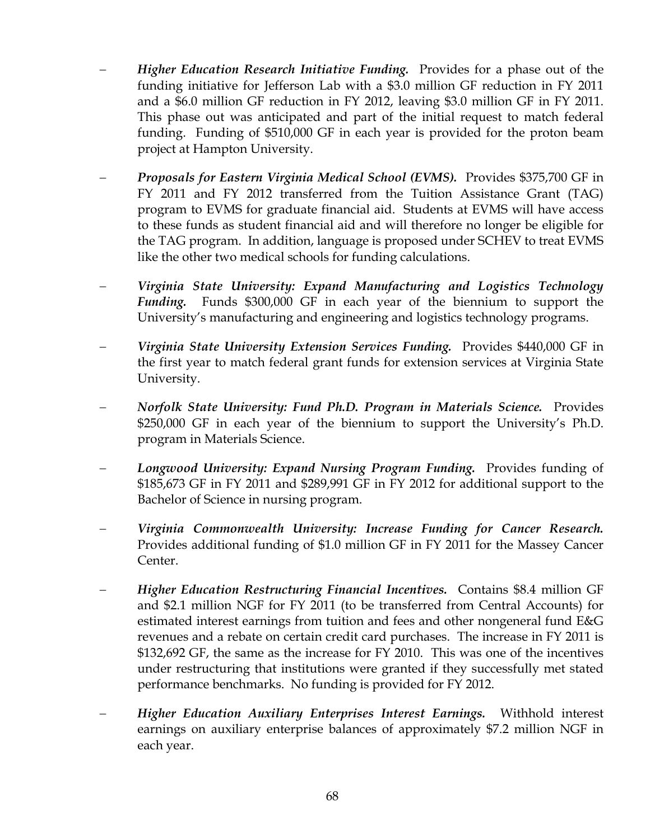- − *Higher Education Research Initiative Funding.* Provides for a phase out of the funding initiative for Jefferson Lab with a \$3.0 million GF reduction in FY 2011 and a \$6.0 million GF reduction in FY 2012, leaving \$3.0 million GF in FY 2011. This phase out was anticipated and part of the initial request to match federal funding.Funding of \$510,000 GF in each year is provided for the proton beam project at Hampton University.
- − *Proposals for Eastern Virginia Medical School (EVMS).* Provides \$375,700 GF in FY 2011 and FY 2012 transferred from the Tuition Assistance Grant (TAG) program to EVMS for graduate financial aid. Students at EVMS will have access to these funds as student financial aid and will therefore no longer be eligible for the TAG program. In addition, language is proposed under SCHEV to treat EVMS like the other two medical schools for funding calculations.
- − *Virginia State University: Expand Manufacturing and Logistics Technology Funding.* Funds \$300,000 GF in each year of the biennium to support the University's manufacturing and engineering and logistics technology programs.
- − *Virginia State University Extension Services Funding.* Provides \$440,000 GF in the first year to match federal grant funds for extension services at Virginia State University.
- − *Norfolk State University: Fund Ph.D. Program in Materials Science.* Provides \$250,000 GF in each year of the biennium to support the University's Ph.D. program in Materials Science.
- − *Longwood University: Expand Nursing Program Funding.* Provides funding of \$185,673 GF in FY 2011 and \$289,991 GF in FY 2012 for additional support to the Bachelor of Science in nursing program.
- − *Virginia Commonwealth University: Increase Funding for Cancer Research.*  Provides additional funding of \$1.0 million GF in FY 2011 for the Massey Cancer Center.
- − *Higher Education Restructuring Financial Incentives.* Contains \$8.4 million GF and \$2.1 million NGF for FY 2011 (to be transferred from Central Accounts) for estimated interest earnings from tuition and fees and other nongeneral fund E&G revenues and a rebate on certain credit card purchases. The increase in FY 2011 is \$132,692 GF, the same as the increase for FY 2010. This was one of the incentives under restructuring that institutions were granted if they successfully met stated performance benchmarks. No funding is provided for FY 2012.
- − *Higher Education Auxiliary Enterprises Interest Earnings.* Withhold interest earnings on auxiliary enterprise balances of approximately \$7.2 million NGF in each year.